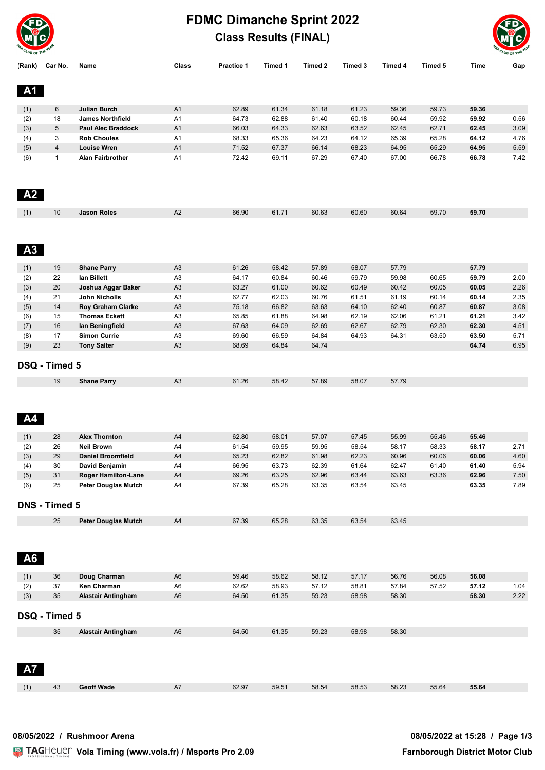

## **FDMC Dimanche Sprint 2022 Class Results (FINAL)**



| (Rank)     | Car No.        | Name                                      | Class          | Practice 1     | Timed 1        | Timed 2        | Timed 3        | Timed 4        | Timed 5        | Time           | Gap  |
|------------|----------------|-------------------------------------------|----------------|----------------|----------------|----------------|----------------|----------------|----------------|----------------|------|
|            |                |                                           |                |                |                |                |                |                |                |                |      |
| A1         |                |                                           |                |                |                |                |                |                |                |                |      |
|            |                |                                           |                |                |                |                |                |                |                |                |      |
| (1)        | 6              | <b>Julian Burch</b>                       | A <sub>1</sub> | 62.89          | 61.34          | 61.18          | 61.23          | 59.36          | 59.73          | 59.36          |      |
| (2)        | 18             | <b>James Northfield</b>                   | A <sub>1</sub> | 64.73          | 62.88          | 61.40          | 60.18          | 60.44          | 59.92          | 59.92          | 0.56 |
| (3)        | 5              | <b>Paul Alec Braddock</b>                 | A1             | 66.03          | 64.33          | 62.63          | 63.52          | 62.45          | 62.71          | 62.45          | 3.09 |
| (4)        | 3              | <b>Rob Choules</b>                        | A1             | 68.33          | 65.36          | 64.23          | 64.12          | 65.39          | 65.28          | 64.12          | 4.76 |
| (5)        | $\overline{4}$ | <b>Louise Wren</b>                        | A1             | 71.52          | 67.37          | 66.14          | 68.23          | 64.95          | 65.29          | 64.95          | 5.59 |
| (6)        | $\mathbf{1}$   | Alan Fairbrother                          | A <sub>1</sub> | 72.42          | 69.11          | 67.29          | 67.40          | 67.00          | 66.78          | 66.78          | 7.42 |
|            |                |                                           |                |                |                |                |                |                |                |                |      |
|            |                |                                           |                |                |                |                |                |                |                |                |      |
| A2         |                |                                           |                |                |                |                |                |                |                |                |      |
|            |                |                                           |                |                |                |                |                |                |                |                |      |
| (1)        | 10             | <b>Jason Roles</b>                        | A2             | 66.90          | 61.71          | 60.63          | 60.60          | 60.64          | 59.70          | 59.70          |      |
|            |                |                                           |                |                |                |                |                |                |                |                |      |
|            |                |                                           |                |                |                |                |                |                |                |                |      |
| A3         |                |                                           |                |                |                |                |                |                |                |                |      |
|            |                |                                           |                |                |                |                |                |                |                |                |      |
| (1)        | 19             | <b>Shane Parry</b>                        | A <sub>3</sub> | 61.26          | 58.42          | 57.89          | 58.07          | 57.79          |                | 57.79          |      |
| (2)        | 22             | lan Billett                               | A <sub>3</sub> | 64.17          | 60.84          | 60.46          | 59.79          | 59.98          | 60.65          | 59.79          | 2.00 |
| (3)        | 20             | Joshua Aggar Baker                        | A <sub>3</sub> | 63.27          | 61.00          | 60.62          | 60.49          | 60.42          | 60.05          | 60.05          | 2.26 |
| (4)        | 21             | John Nicholls                             | A <sub>3</sub> | 62.77          | 62.03          | 60.76          | 61.51          | 61.19          | 60.14          | 60.14          | 2.35 |
| (5)        | 14             | <b>Roy Graham Clarke</b>                  | A <sub>3</sub> | 75.18          | 66.82          | 63.63          | 64.10          | 62.40          | 60.87          | 60.87          | 3.08 |
| (6)        | 15             | <b>Thomas Eckett</b>                      | A <sub>3</sub> | 65.85          | 61.88          | 64.98          | 62.19          | 62.06          | 61.21          | 61.21          | 3.42 |
| (7)        | 16             | lan Beningfield                           | A3             | 67.63          | 64.09          | 62.69          | 62.67          | 62.79          | 62.30          | 62.30          | 4.51 |
| (8)        | 17             | <b>Simon Currie</b>                       | A <sub>3</sub> | 69.60          | 66.59          | 64.84          | 64.93          | 64.31          | 63.50          | 63.50          | 5.71 |
| (9)        | 23             | <b>Tony Salter</b>                        | A <sub>3</sub> | 68.69          | 64.84          | 64.74          |                |                |                | 64.74          | 6.95 |
|            |                |                                           |                |                |                |                |                |                |                |                |      |
|            | DSQ - Timed 5  |                                           |                |                |                |                |                |                |                |                |      |
|            | 19             | <b>Shane Parry</b>                        | A3             | 61.26          | 58.42          | 57.89          | 58.07          | 57.79          |                |                |      |
|            |                |                                           |                |                |                |                |                |                |                |                |      |
|            |                |                                           |                |                |                |                |                |                |                |                |      |
|            |                |                                           |                |                |                |                |                |                |                |                |      |
| <b>A4</b>  |                |                                           |                |                |                |                |                |                |                |                |      |
|            |                |                                           |                |                |                |                |                |                |                |                |      |
| (1)        | 28<br>26       | <b>Alex Thornton</b><br><b>Neil Brown</b> | A4<br>A4       | 62.80<br>61.54 | 58.01<br>59.95 | 57.07<br>59.95 | 57.45<br>58.54 | 55.99<br>58.17 | 55.46<br>58.33 | 55.46<br>58.17 | 2.71 |
| (2)<br>(3) | 29             | <b>Daniel Broomfield</b>                  | A4             | 65.23          | 62.82          | 61.98          | 62.23          | 60.96          | 60.06          | 60.06          | 4.60 |
| (4)        | 30             | David Benjamin                            | A4             | 66.95          | 63.73          | 62.39          | 61.64          | 62.47          | 61.40          | 61.40          | 5.94 |
| (5)        | 31             | <b>Roger Hamilton-Lane</b>                | A4             | 69.26          | 63.25          | 62.96          | 63.44          | 63.63          | 63.36          | 62.96          | 7.50 |
| (6)        | 25             | <b>Peter Douglas Mutch</b>                | A4             | 67.39          | 65.28          | 63.35          | 63.54          | 63.45          |                | 63.35          | 7.89 |
|            |                |                                           |                |                |                |                |                |                |                |                |      |
|            | DNS - Timed 5  |                                           |                |                |                |                |                |                |                |                |      |
|            |                |                                           |                |                |                |                |                |                |                |                |      |
|            | 25             | <b>Peter Douglas Mutch</b>                | A4             | 67.39          | 65.28          | 63.35          | 63.54          | 63.45          |                |                |      |
|            |                |                                           |                |                |                |                |                |                |                |                |      |
|            |                |                                           |                |                |                |                |                |                |                |                |      |
| <b>A6</b>  |                |                                           |                |                |                |                |                |                |                |                |      |
|            |                |                                           |                |                |                |                |                |                |                |                |      |
| (1)        | 36             | Doug Charman                              | A <sub>6</sub> | 59.46          | 58.62          | 58.12          | 57.17          | 56.76          | 56.08          | 56.08          |      |
| (2)        | 37             | Ken Charman                               | A <sub>6</sub> | 62.62          | 58.93          | 57.12          | 58.81          | 57.84          | 57.52          | 57.12          | 1.04 |
| (3)        | 35             | <b>Alastair Antingham</b>                 | A <sub>6</sub> | 64.50          | 61.35          | 59.23          | 58.98          | 58.30          |                | 58.30          | 2.22 |
|            |                |                                           |                |                |                |                |                |                |                |                |      |
|            | DSQ - Timed 5  |                                           |                |                |                |                |                |                |                |                |      |
|            | 35             |                                           | A <sub>6</sub> | 64.50          | 61.35          | 59.23          | 58.98          | 58.30          |                |                |      |
|            |                | <b>Alastair Antingham</b>                 |                |                |                |                |                |                |                |                |      |
|            |                |                                           |                |                |                |                |                |                |                |                |      |
|            |                |                                           |                |                |                |                |                |                |                |                |      |
|            |                |                                           |                |                |                |                |                |                |                |                |      |
|            |                |                                           |                |                |                |                |                |                |                |                |      |
| (1)        | 43             | <b>Geoff Wade</b>                         | A7             | 62.97          | 59.51          | 58.54          | 58.53          | 58.23          | 55.64          | 55.64          |      |
|            |                |                                           |                |                |                |                |                |                |                |                |      |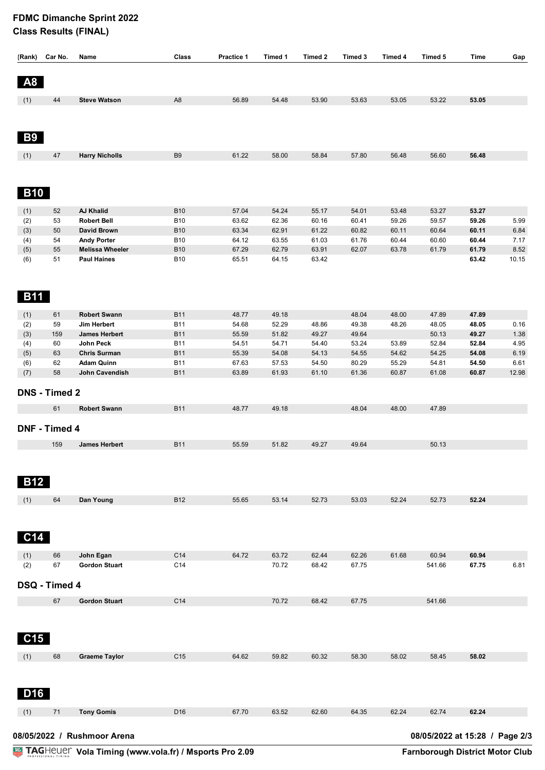## **FDMC Dimanche Sprint 2022 Class Results (FINAL)**

| (Rank)                                                        | Car No.              | Name                                     | Class                    | Practice 1     | Timed 1        | Timed 2        | Timed 3        | Timed 4        | Timed 5         | Time           | Gap          |
|---------------------------------------------------------------|----------------------|------------------------------------------|--------------------------|----------------|----------------|----------------|----------------|----------------|-----------------|----------------|--------------|
|                                                               |                      |                                          |                          |                |                |                |                |                |                 |                |              |
| A8                                                            |                      |                                          |                          |                |                |                |                |                |                 |                |              |
| (1)                                                           | 44                   | <b>Steve Watson</b>                      | A <sub>8</sub>           | 56.89          | 54.48          | 53.90          | 53.63          | 53.05          | 53.22           | 53.05          |              |
|                                                               |                      |                                          |                          |                |                |                |                |                |                 |                |              |
|                                                               |                      |                                          |                          |                |                |                |                |                |                 |                |              |
|                                                               |                      |                                          |                          |                |                |                |                |                |                 |                |              |
| <b>B9</b>                                                     |                      |                                          |                          |                |                |                |                |                |                 |                |              |
| (1)                                                           | 47                   | <b>Harry Nicholls</b>                    | B <sub>9</sub>           | 61.22          | 58.00          | 58.84          | 57.80          | 56.48          | 56.60           | 56.48          |              |
|                                                               |                      |                                          |                          |                |                |                |                |                |                 |                |              |
|                                                               |                      |                                          |                          |                |                |                |                |                |                 |                |              |
| <b>B10</b>                                                    |                      |                                          |                          |                |                |                |                |                |                 |                |              |
|                                                               |                      |                                          |                          |                |                |                |                |                |                 |                |              |
| (1)<br>(2)                                                    | 52<br>53             | <b>AJ Khalid</b><br><b>Robert Bell</b>   | <b>B10</b><br><b>B10</b> | 57.04<br>63.62 | 54.24<br>62.36 | 55.17<br>60.16 | 54.01<br>60.41 | 53.48<br>59.26 | 53.27<br>59.57  | 53.27<br>59.26 | 5.99         |
| (3)                                                           | 50                   | <b>David Brown</b>                       | <b>B10</b>               | 63.34          | 62.91          | 61.22          | 60.82          | 60.11          | 60.64           | 60.11          | 6.84         |
| (4)                                                           | 54                   | <b>Andy Porter</b>                       | <b>B10</b>               | 64.12          | 63.55          | 61.03          | 61.76          | 60.44          | 60.60           | 60.44          | 7.17         |
| (5)                                                           | 55                   | <b>Melissa Wheeler</b>                   | <b>B10</b>               | 67.29          | 62.79          | 63.91          | 62.07          | 63.78          | 61.79           | 61.79          | 8.52         |
| (6)                                                           | 51                   | <b>Paul Haines</b>                       | <b>B10</b>               | 65.51          | 64.15          | 63.42          |                |                |                 | 63.42          | 10.15        |
|                                                               |                      |                                          |                          |                |                |                |                |                |                 |                |              |
|                                                               |                      |                                          |                          |                |                |                |                |                |                 |                |              |
| <b>B11</b>                                                    |                      |                                          |                          |                |                |                |                |                |                 |                |              |
| (1)                                                           | 61                   | <b>Robert Swann</b>                      | <b>B11</b>               | 48.77          | 49.18          |                | 48.04          | 48.00          | 47.89           | 47.89          |              |
| (2)                                                           | 59                   | Jim Herbert                              | <b>B11</b>               | 54.68          | 52.29          | 48.86          | 49.38          | 48.26          | 48.05           | 48.05          | 0.16         |
| (3)                                                           | 159                  | <b>James Herbert</b>                     | <b>B11</b>               | 55.59          | 51.82          | 49.27          | 49.64          |                | 50.13           | 49.27          | 1.38         |
| (4)                                                           | 60                   | John Peck                                | <b>B11</b>               | 54.51          | 54.71          | 54.40          | 53.24          | 53.89          | 52.84           | 52.84          | 4.95         |
| (5)                                                           | 63<br>62             | <b>Chris Surman</b><br><b>Adam Quinn</b> | <b>B11</b><br><b>B11</b> | 55.39<br>67.63 | 54.08<br>57.53 | 54.13<br>54.50 | 54.55<br>80.29 | 54.62<br>55.29 | 54.25<br>54.81  | 54.08<br>54.50 | 6.19<br>6.61 |
| (6)<br>(7)                                                    | 58                   | John Cavendish                           | <b>B11</b>               | 63.89          | 61.93          | 61.10          | 61.36          | 60.87          | 61.08           | 60.87          | 12.98        |
|                                                               |                      |                                          |                          |                |                |                |                |                |                 |                |              |
|                                                               | <b>DNS - Timed 2</b> |                                          |                          |                |                |                |                |                |                 |                |              |
|                                                               | 61                   | <b>Robert Swann</b>                      | <b>B11</b>               | 48.77          | 49.18          |                | 48.04          | 48.00          | 47.89           |                |              |
|                                                               |                      |                                          |                          |                |                |                |                |                |                 |                |              |
|                                                               | DNF - Timed 4        |                                          |                          |                |                |                |                |                |                 |                |              |
|                                                               | 159                  | <b>James Herbert</b>                     | <b>B11</b>               | 55.59          | 51.82          | 49.27          | 49.64          |                | 50.13           |                |              |
|                                                               |                      |                                          |                          |                |                |                |                |                |                 |                |              |
|                                                               |                      |                                          |                          |                |                |                |                |                |                 |                |              |
| <b>B12</b>                                                    |                      |                                          |                          |                |                |                |                |                |                 |                |              |
|                                                               |                      |                                          |                          |                |                |                |                |                |                 |                |              |
| (1)                                                           | 64                   | Dan Young                                | <b>B12</b>               | 55.65          | 53.14          | 52.73          | 53.03          | 52.24          | 52.73           | 52.24          |              |
|                                                               |                      |                                          |                          |                |                |                |                |                |                 |                |              |
|                                                               |                      |                                          |                          |                |                |                |                |                |                 |                |              |
| <b>C14</b>                                                    |                      |                                          |                          |                |                |                |                |                |                 |                |              |
|                                                               |                      |                                          |                          |                |                |                |                |                |                 |                |              |
| (1)<br>(2)                                                    | 66<br>67             | John Egan<br><b>Gordon Stuart</b>        | C14<br>C14               | 64.72          | 63.72<br>70.72 | 62.44<br>68.42 | 62.26<br>67.75 | 61.68          | 60.94<br>541.66 | 60.94<br>67.75 | 6.81         |
|                                                               |                      |                                          |                          |                |                |                |                |                |                 |                |              |
|                                                               | DSQ - Timed 4        |                                          |                          |                |                |                |                |                |                 |                |              |
|                                                               | 67                   | <b>Gordon Stuart</b>                     | C14                      |                | 70.72          | 68.42          | 67.75          |                | 541.66          |                |              |
|                                                               |                      |                                          |                          |                |                |                |                |                |                 |                |              |
|                                                               |                      |                                          |                          |                |                |                |                |                |                 |                |              |
|                                                               |                      |                                          |                          |                |                |                |                |                |                 |                |              |
| C15                                                           |                      |                                          |                          |                |                |                |                |                |                 |                |              |
| (1)                                                           | 68                   | <b>Graeme Taylor</b>                     | C <sub>15</sub>          | 64.62          | 59.82          | 60.32          | 58.30          | 58.02          | 58.45           | 58.02          |              |
|                                                               |                      |                                          |                          |                |                |                |                |                |                 |                |              |
|                                                               |                      |                                          |                          |                |                |                |                |                |                 |                |              |
| D16                                                           |                      |                                          |                          |                |                |                |                |                |                 |                |              |
|                                                               |                      |                                          |                          |                |                |                |                |                |                 |                |              |
| (1)                                                           | 71                   | <b>Tony Gomis</b>                        | D <sub>16</sub>          | 67.70          | 63.52          | 62.60          | 64.35          | 62.24          | 62.74           | 62.24          |              |
|                                                               |                      |                                          |                          |                |                |                |                |                |                 |                |              |
| 08/05/2022 at 15:28 / Page 2/3<br>08/05/2022 / Rushmoor Arena |                      |                                          |                          |                |                |                |                |                |                 |                |              |